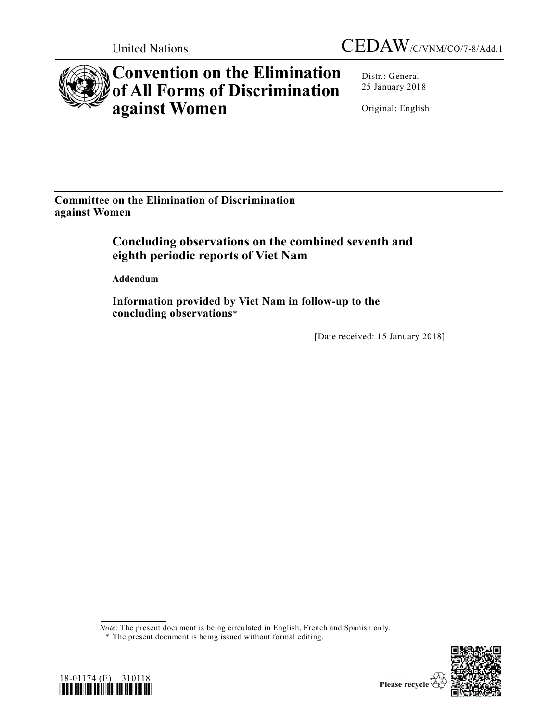



# **Convention on the Elimination of All Forms of Discrimination against Women**

Distr.: General 25 January 2018

Original: English

**Committee on the Elimination of Discrimination against Women** 

# **Concluding observations on the combined seventh and eighth periodic reports of Viet Nam**

 **Addendum** 

 **Information provided by Viet Nam in follow-up to the concluding observations**\*

[Date received: 15 January 2018]

*Note*: The present document is being circulated in English, French and Spanish only.





 <sup>\*</sup> The present document is being issued without formal editing.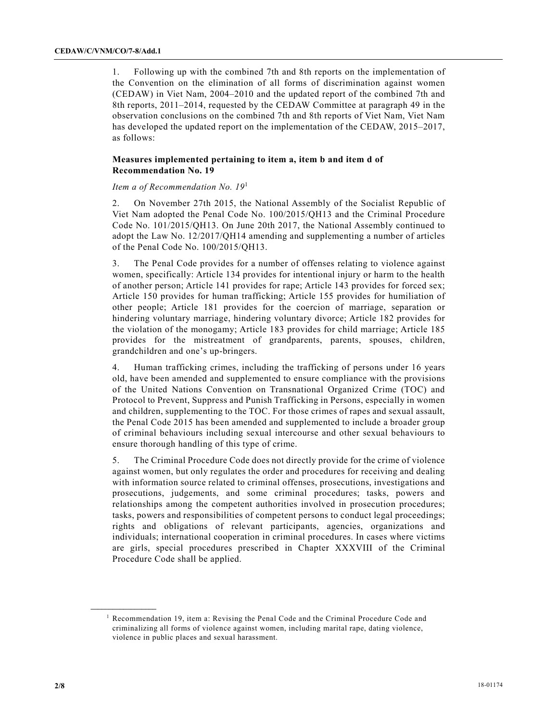1. Following up with the combined 7th and 8th reports on the implementation of the Convention on the elimination of all forms of discrimination against women (CEDAW) in Viet Nam, 2004–2010 and the updated report of the combined 7th and 8th reports, 2011–2014, requested by the CEDAW Committee at paragraph 49 in the observation conclusions on the combined 7th and 8th reports of Viet Nam, Viet Nam has developed the updated report on the implementation of the CEDAW, 2015–2017, as follows:

## **Measures implemented pertaining to item a, item b and item d of Recommendation No. 19**

 *Item a of Recommendation No. 19*<sup>1</sup>

2. On November 27th 2015, the National Assembly of the Socialist Republic of Viet Nam adopted the Penal Code No. 100/2015/QH13 and the Criminal Procedure Code No. 101/2015/QH13. On June 20th 2017, the National Assembly continued to adopt the Law No. 12/2017/QH14 amending and supplementing a number of articles of the Penal Code No. 100/2015/QH13.

3. The Penal Code provides for a number of offenses relating to violence against women, specifically: Article 134 provides for intentional injury or harm to the health of another person; Article 141 provides for rape; Article 143 provides for forced sex; Article 150 provides for human trafficking; Article 155 provides for humiliation of other people; Article 181 provides for the coercion of marriage, separation or hindering voluntary marriage, hindering voluntary divorce; Article 182 provides for the violation of the monogamy; Article 183 provides for child marriage; Article 185 provides for the mistreatment of grandparents, parents, spouses, children, grandchildren and one's up-bringers.

4. Human trafficking crimes, including the trafficking of persons under 16 years old, have been amended and supplemented to ensure compliance with the provisions of the United Nations Convention on Transnational Organized Crime (TOC) and Protocol to Prevent, Suppress and Punish Trafficking in Persons, especially in women and children, supplementing to the TOC. For those crimes of rapes and sexual assault, the Penal Code 2015 has been amended and supplemented to include a broader group of criminal behaviours including sexual intercourse and other sexual behaviours to ensure thorough handling of this type of crime.

5. The Criminal Procedure Code does not directly provide for the crime of violence against women, but only regulates the order and procedures for receiving and dealing with information source related to criminal offenses, prosecutions, investigations and prosecutions, judgements, and some criminal procedures; tasks, powers and relationships among the competent authorities involved in prosecution procedures; tasks, powers and responsibilities of competent persons to conduct legal proceedings; rights and obligations of relevant participants, agencies, organizations and individuals; international cooperation in criminal procedures. In cases where victims are girls, special procedures prescribed in Chapter XXXVIII of the Criminal Procedure Code shall be applied.

<sup>&</sup>lt;sup>1</sup> Recommendation 19, item a: Revising the Penal Code and the Criminal Procedure Code and criminalizing all forms of violence against women, including marital rape, dating violence, violence in public places and sexual harassment.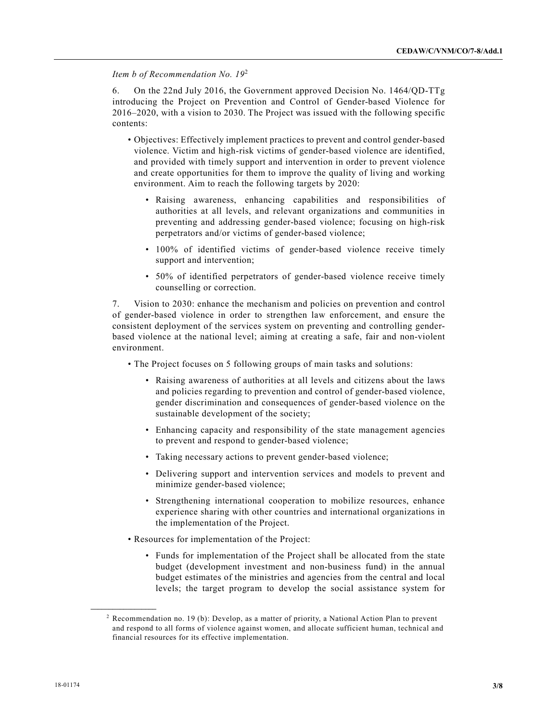*Item b of Recommendation No. 19*<sup>2</sup>

6. On the 22nd July 2016, the Government approved Decision No. 1464/QD-TTg introducing the Project on Prevention and Control of Gender-based Violence for 2016–2020, with a vision to 2030. The Project was issued with the following specific contents:

- Objectives: Effectively implement practices to prevent and control gender-based violence. Victim and high-risk victims of gender-based violence are identified, and provided with timely support and intervention in order to prevent violence and create opportunities for them to improve the quality of living and working environment. Aim to reach the following targets by 2020:
	- Raising awareness, enhancing capabilities and responsibilities of authorities at all levels, and relevant organizations and communities in preventing and addressing gender-based violence; focusing on high-risk perpetrators and/or victims of gender-based violence;
	- 100% of identified victims of gender-based violence receive timely support and intervention;
	- 50% of identified perpetrators of gender-based violence receive timely counselling or correction.

7. Vision to 2030: enhance the mechanism and policies on prevention and control of gender-based violence in order to strengthen law enforcement, and ensure the consistent deployment of the services system on preventing and controlling genderbased violence at the national level; aiming at creating a safe, fair and non-violent environment.

- The Project focuses on 5 following groups of main tasks and solutions:
	- Raising awareness of authorities at all levels and citizens about the laws and policies regarding to prevention and control of gender-based violence, gender discrimination and consequences of gender-based violence on the sustainable development of the society;
	- Enhancing capacity and responsibility of the state management agencies to prevent and respond to gender-based violence;
	- Taking necessary actions to prevent gender-based violence;
	- Delivering support and intervention services and models to prevent and minimize gender-based violence;
	- Strengthening international cooperation to mobilize resources, enhance experience sharing with other countries and international organizations in the implementation of the Project.
- Resources for implementation of the Project:
	- Funds for implementation of the Project shall be allocated from the state budget (development investment and non-business fund) in the annual budget estimates of the ministries and agencies from the central and local levels; the target program to develop the social assistance system for

<sup>2</sup> Recommendation no. 19 (b): Develop, as a matter of priority, a National Action Plan to prevent and respond to all forms of violence against women, and allocate sufficient human, technical and financial resources for its effective implementation.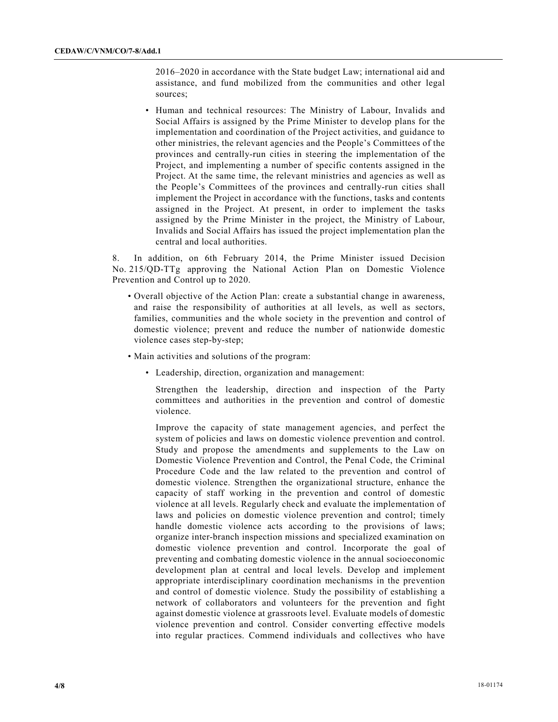2016–2020 in accordance with the State budget Law; international aid and assistance, and fund mobilized from the communities and other legal sources;

 • Human and technical resources: The Ministry of Labour, Invalids and Social Affairs is assigned by the Prime Minister to develop plans for the implementation and coordination of the Project activities, and guidance to other ministries, the relevant agencies and the People's Committees of the provinces and centrally-run cities in steering the implementation of the Project, and implementing a number of specific contents assigned in the Project. At the same time, the relevant ministries and agencies as well as the People's Committees of the provinces and centrally-run cities shall implement the Project in accordance with the functions, tasks and contents assigned in the Project. At present, in order to implement the tasks assigned by the Prime Minister in the project, the Ministry of Labour, Invalids and Social Affairs has issued the project implementation plan the central and local authorities.

8. In addition, on 6th February 2014, the Prime Minister issued Decision No. 215/QD-TTg approving the National Action Plan on Domestic Violence Prevention and Control up to 2020.

- Overall objective of the Action Plan: create a substantial change in awareness, and raise the responsibility of authorities at all levels, as well as sectors, families, communities and the whole society in the prevention and control of domestic violence; prevent and reduce the number of nationwide domestic violence cases step-by-step;
- Main activities and solutions of the program:
	- Leadership, direction, organization and management:

 Strengthen the leadership, direction and inspection of the Party committees and authorities in the prevention and control of domestic violence.

 Improve the capacity of state management agencies, and perfect the system of policies and laws on domestic violence prevention and control. Study and propose the amendments and supplements to the Law on Domestic Violence Prevention and Control, the Penal Code, the Criminal Procedure Code and the law related to the prevention and control of domestic violence. Strengthen the organizational structure, enhance the capacity of staff working in the prevention and control of domestic violence at all levels. Regularly check and evaluate the implementation of laws and policies on domestic violence prevention and control; timely handle domestic violence acts according to the provisions of laws; organize inter-branch inspection missions and specialized examination on domestic violence prevention and control. Incorporate the goal of preventing and combating domestic violence in the annual socioeconomic development plan at central and local levels. Develop and implement appropriate interdisciplinary coordination mechanisms in the prevention and control of domestic violence. Study the possibility of establishing a network of collaborators and volunteers for the prevention and fight against domestic violence at grassroots level. Evaluate models of domestic violence prevention and control. Consider converting effective models into regular practices. Commend individuals and collectives who have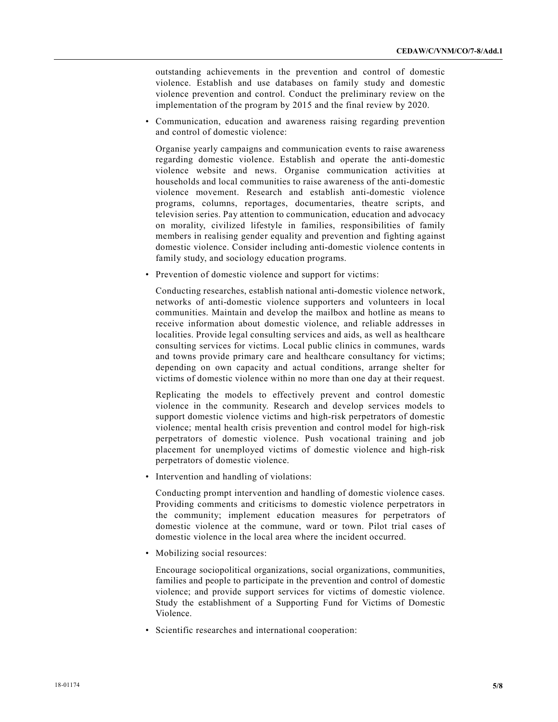outstanding achievements in the prevention and control of domestic violence. Establish and use databases on family study and domestic violence prevention and control. Conduct the preliminary review on the implementation of the program by 2015 and the final review by 2020.

 • Communication, education and awareness raising regarding prevention and control of domestic violence:

 Organise yearly campaigns and communication events to raise awareness regarding domestic violence. Establish and operate the anti-domestic violence website and news. Organise communication activities at households and local communities to raise awareness of the anti-domestic violence movement. Research and establish anti-domestic violence programs, columns, reportages, documentaries, theatre scripts, and television series. Pay attention to communication, education and advocacy on morality, civilized lifestyle in families, responsibilities of family members in realising gender equality and prevention and fighting against domestic violence. Consider including anti-domestic violence contents in family study, and sociology education programs.

• Prevention of domestic violence and support for victims:

 Conducting researches, establish national anti-domestic violence network, networks of anti-domestic violence supporters and volunteers in local communities. Maintain and develop the mailbox and hotline as means to receive information about domestic violence, and reliable addresses in localities. Provide legal consulting services and aids, as well as healthcare consulting services for victims. Local public clinics in communes, wards and towns provide primary care and healthcare consultancy for victims; depending on own capacity and actual conditions, arrange shelter for victims of domestic violence within no more than one day at their request.

 Replicating the models to effectively prevent and control domestic violence in the community. Research and develop services models to support domestic violence victims and high-risk perpetrators of domestic violence; mental health crisis prevention and control model for high-risk perpetrators of domestic violence. Push vocational training and job placement for unemployed victims of domestic violence and high-risk perpetrators of domestic violence.

• Intervention and handling of violations:

 Conducting prompt intervention and handling of domestic violence cases. Providing comments and criticisms to domestic violence perpetrators in the community; implement education measures for perpetrators of domestic violence at the commune, ward or town. Pilot trial cases of domestic violence in the local area where the incident occurred.

• Mobilizing social resources:

 Encourage sociopolitical organizations, social organizations, communities, families and people to participate in the prevention and control of domestic violence; and provide support services for victims of domestic violence. Study the establishment of a Supporting Fund for Victims of Domestic Violence.

• Scientific researches and international cooperation: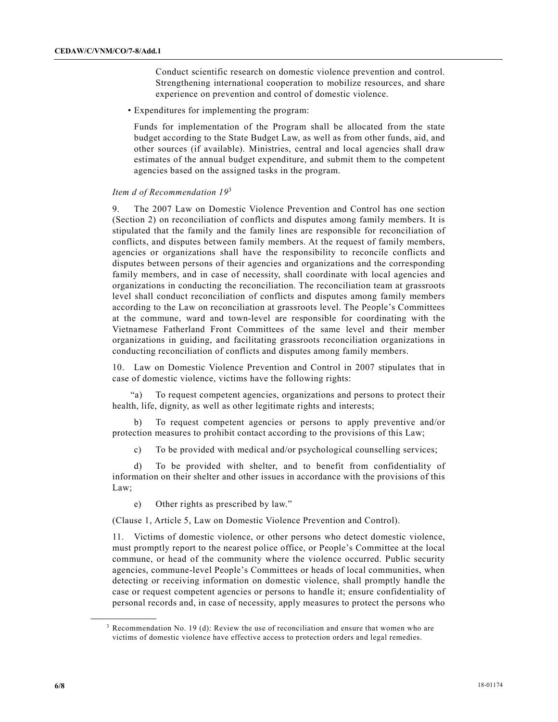Conduct scientific research on domestic violence prevention and control. Strengthening international cooperation to mobilize resources, and share experience on prevention and control of domestic violence.

• Expenditures for implementing the program:

 Funds for implementation of the Program shall be allocated from the state budget according to the State Budget Law, as well as from other funds, aid, and other sources (if available). Ministries, central and local agencies shall draw estimates of the annual budget expenditure, and submit them to the competent agencies based on the assigned tasks in the program.

#### *Item d of Recommendation 19*<sup>3</sup>

9. The 2007 Law on Domestic Violence Prevention and Control has one section (Section 2) on reconciliation of conflicts and disputes among family members. It is stipulated that the family and the family lines are responsible for reconciliation of conflicts, and disputes between family members. At the request of family members, agencies or organizations shall have the responsibility to reconcile conflicts and disputes between persons of their agencies and organizations and the corresponding family members, and in case of necessity, shall coordinate with local agencies and organizations in conducting the reconciliation. The reconciliation team at grassroots level shall conduct reconciliation of conflicts and disputes among family members according to the Law on reconciliation at grassroots level. The People's Committees at the commune, ward and town-level are responsible for coordinating with the Vietnamese Fatherland Front Committees of the same level and their member organizations in guiding, and facilitating grassroots reconciliation organizations in conducting reconciliation of conflicts and disputes among family members.

10. Law on Domestic Violence Prevention and Control in 2007 stipulates that in case of domestic violence, victims have the following rights:

 "a) To request competent agencies, organizations and persons to protect their health, life, dignity, as well as other legitimate rights and interests;

 b) To request competent agencies or persons to apply preventive and/or protection measures to prohibit contact according to the provisions of this Law;

c) To be provided with medical and/or psychological counselling services;

 d) To be provided with shelter, and to benefit from confidentiality of information on their shelter and other issues in accordance with the provisions of this Law;

e) Other rights as prescribed by law."

(Clause 1, Article 5, Law on Domestic Violence Prevention and Control).

11. Victims of domestic violence, or other persons who detect domestic violence, must promptly report to the nearest police office, or People's Committee at the local commune, or head of the community where the violence occurred. Public security agencies, commune-level People's Committees or heads of local communities, when detecting or receiving information on domestic violence, shall promptly handle the case or request competent agencies or persons to handle it; ensure confidentiality of personal records and, in case of necessity, apply measures to protect the persons who

<sup>&</sup>lt;sup>3</sup> Recommendation No. 19 (d): Review the use of reconciliation and ensure that women who are victims of domestic violence have effective access to protection orders and legal remedies.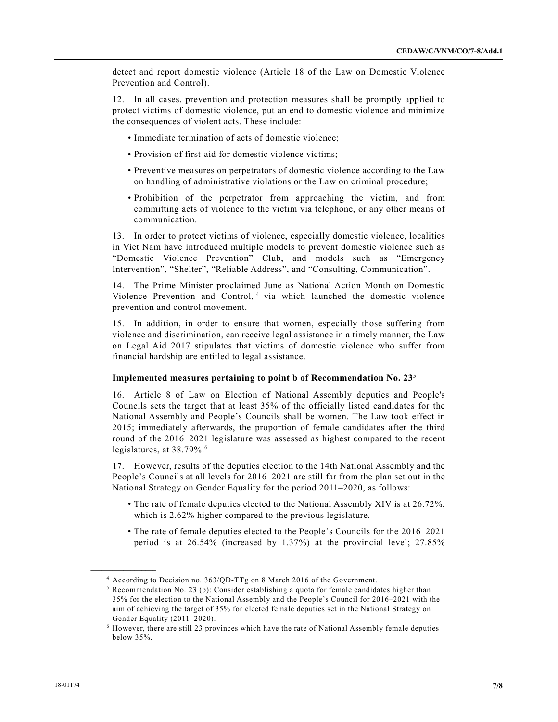detect and report domestic violence (Article 18 of the Law on Domestic Violence Prevention and Control).

12. In all cases, prevention and protection measures shall be promptly applied to protect victims of domestic violence, put an end to domestic violence and minimize the consequences of violent acts. These include:

- Immediate termination of acts of domestic violence;
- Provision of first-aid for domestic violence victims;
- Preventive measures on perpetrators of domestic violence according to the Law on handling of administrative violations or the Law on criminal procedure;
- Prohibition of the perpetrator from approaching the victim, and from committing acts of violence to the victim via telephone, or any other means of communication.

13. In order to protect victims of violence, especially domestic violence, localities in Viet Nam have introduced multiple models to prevent domestic violence such as "Domestic Violence Prevention" Club, and models such as "Emergency Intervention", "Shelter", "Reliable Address", and "Consulting, Communication".

14. The Prime Minister proclaimed June as National Action Month on Domestic Violence Prevention and Control,<sup>4</sup> via which launched the domestic violence prevention and control movement.

15. In addition, in order to ensure that women, especially those suffering from violence and discrimination, can receive legal assistance in a timely manner, the Law on Legal Aid 2017 stipulates that victims of domestic violence who suffer from financial hardship are entitled to legal assistance.

### **Implemented measures pertaining to point b of Recommendation No. 23**<sup>5</sup>

16. Article 8 of Law on Election of National Assembly deputies and People's Councils sets the target that at least 35% of the officially listed candidates for the National Assembly and People's Councils shall be women. The Law took effect in 2015; immediately afterwards, the proportion of female candidates after the third round of the 2016–2021 legislature was assessed as highest compared to the recent legislatures, at 38.79%.<sup>6</sup>

17. However, results of the deputies election to the 14th National Assembly and the People's Councils at all levels for 2016–2021 are still far from the plan set out in the National Strategy on Gender Equality for the period 2011–2020, as follows:

- The rate of female deputies elected to the National Assembly XIV is at 26.72%, which is 2.62% higher compared to the previous legislature.
- The rate of female deputies elected to the People's Councils for the 2016–2021 period is at 26.54% (increased by 1.37%) at the provincial level; 27.85%

<sup>4</sup> According to Decision no. 363/QD-TTg on 8 March 2016 of the Government.

<sup>&</sup>lt;sup>5</sup> Recommendation No. 23 (b): Consider establishing a quota for female candidates higher than 35% for the election to the National Assembly and the People's Council for 2016–2021 with the aim of achieving the target of 35% for elected female deputies set in the National Strategy on Gender Equality (2011–2020).

<sup>6</sup> However, there are still 23 provinces which have the rate of National Assembly female deputies below 35%.